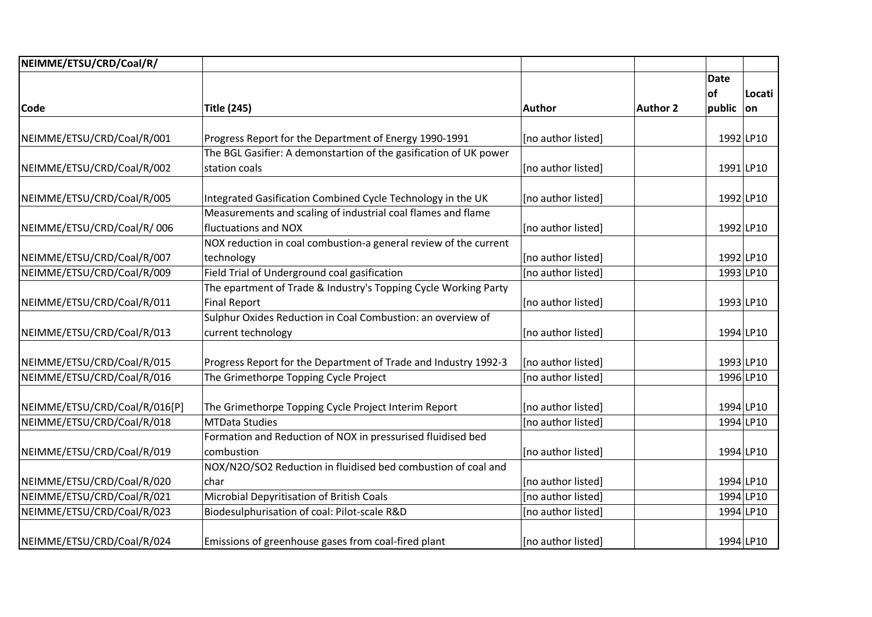| NEIMME/ETSU/CRD/Coal/R/       |                                                                   |                    |                 |             |           |
|-------------------------------|-------------------------------------------------------------------|--------------------|-----------------|-------------|-----------|
|                               |                                                                   |                    |                 | <b>Date</b> |           |
|                               |                                                                   |                    |                 | of          | Locati    |
| <b>Code</b>                   | <b>Title (245)</b>                                                | Author             | <b>Author 2</b> | public      | lon.      |
|                               |                                                                   |                    |                 |             |           |
| NEIMME/ETSU/CRD/Coal/R/001    | Progress Report for the Department of Energy 1990-1991            | [no author listed] |                 |             | 1992 LP10 |
|                               | The BGL Gasifier: A demonstartion of the gasification of UK power |                    |                 |             |           |
| NEIMME/ETSU/CRD/Coal/R/002    | station coals                                                     | [no author listed] |                 |             | 1991 LP10 |
| NEIMME/ETSU/CRD/Coal/R/005    | Integrated Gasification Combined Cycle Technology in the UK       | [no author listed] |                 |             | 1992 LP10 |
|                               | Measurements and scaling of industrial coal flames and flame      |                    |                 |             |           |
| NEIMME/ETSU/CRD/Coal/R/006    | fluctuations and NOX                                              | [no author listed] |                 |             | 1992 LP10 |
|                               | NOX reduction in coal combustion-a general review of the current  |                    |                 |             |           |
| NEIMME/ETSU/CRD/Coal/R/007    | technology                                                        | [no author listed] |                 |             | 1992 LP10 |
| NEIMME/ETSU/CRD/Coal/R/009    | Field Trial of Underground coal gasification                      | [no author listed] |                 |             | 1993 LP10 |
|                               | The epartment of Trade & Industry's Topping Cycle Working Party   |                    |                 |             |           |
| NEIMME/ETSU/CRD/Coal/R/011    | <b>Final Report</b>                                               | [no author listed] |                 |             | 1993 LP10 |
|                               | Sulphur Oxides Reduction in Coal Combustion: an overview of       |                    |                 |             |           |
| NEIMME/ETSU/CRD/Coal/R/013    | current technology                                                | [no author listed] |                 |             | 1994 LP10 |
| NEIMME/ETSU/CRD/Coal/R/015    | Progress Report for the Department of Trade and Industry 1992-3   | [no author listed] |                 |             | 1993 LP10 |
| NEIMME/ETSU/CRD/Coal/R/016    | The Grimethorpe Topping Cycle Project                             | [no author listed] |                 |             | 1996 LP10 |
|                               |                                                                   |                    |                 |             |           |
| NEIMME/ETSU/CRD/Coal/R/016[P] | The Grimethorpe Topping Cycle Project Interim Report              | [no author listed] |                 |             | 1994 LP10 |
| NEIMME/ETSU/CRD/Coal/R/018    | <b>MTData Studies</b>                                             | [no author listed] |                 |             | 1994 LP10 |
|                               | Formation and Reduction of NOX in pressurised fluidised bed       |                    |                 |             |           |
| NEIMME/ETSU/CRD/Coal/R/019    | combustion                                                        | [no author listed] |                 |             | 1994 LP10 |
|                               | NOX/N2O/SO2 Reduction in fluidised bed combustion of coal and     |                    |                 |             |           |
| NEIMME/ETSU/CRD/Coal/R/020    | char                                                              | [no author listed] |                 |             | 1994 LP10 |
| NEIMME/ETSU/CRD/Coal/R/021    | Microbial Depyritisation of British Coals                         | [no author listed] |                 |             | 1994 LP10 |
| NEIMME/ETSU/CRD/Coal/R/023    | Biodesulphurisation of coal: Pilot-scale R&D                      | [no author listed] |                 |             | 1994 LP10 |
| NEIMME/ETSU/CRD/Coal/R/024    | Emissions of greenhouse gases from coal-fired plant               | [no author listed] |                 |             | 1994 LP10 |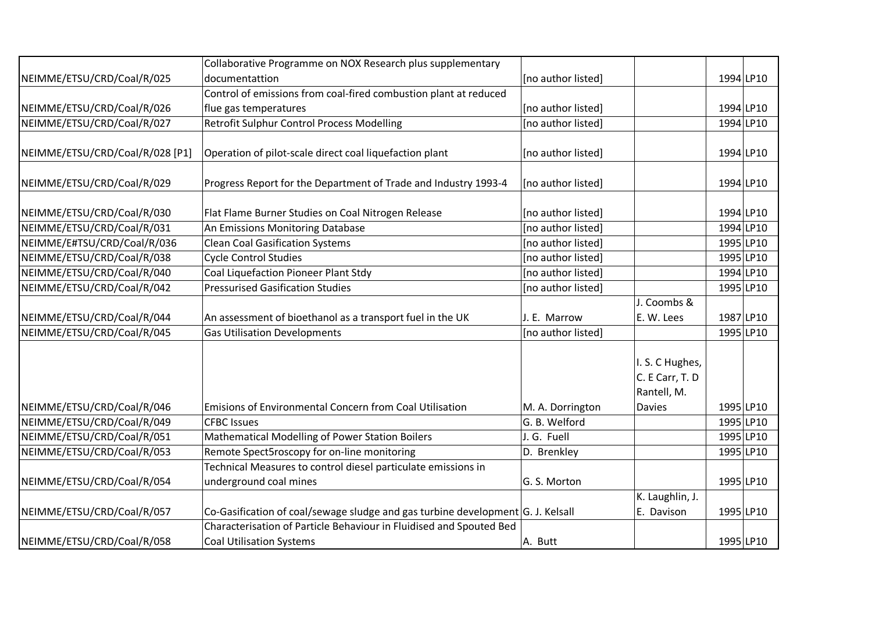|                                 | Collaborative Programme on NOX Research plus supplementary                      |                    |                 |           |           |
|---------------------------------|---------------------------------------------------------------------------------|--------------------|-----------------|-----------|-----------|
| NEIMME/ETSU/CRD/Coal/R/025      | documentattion                                                                  | [no author listed] |                 |           | 1994 LP10 |
|                                 | Control of emissions from coal-fired combustion plant at reduced                |                    |                 |           |           |
| NEIMME/ETSU/CRD/Coal/R/026      | flue gas temperatures                                                           | [no author listed] |                 |           | 1994 LP10 |
| NEIMME/ETSU/CRD/Coal/R/027      | Retrofit Sulphur Control Process Modelling                                      | [no author listed] |                 |           | 1994 LP10 |
|                                 |                                                                                 |                    |                 |           |           |
| NEIMME/ETSU/CRD/Coal/R/028 [P1] | Operation of pilot-scale direct coal liquefaction plant                         | [no author listed] |                 |           | 1994 LP10 |
|                                 |                                                                                 |                    |                 |           |           |
| NEIMME/ETSU/CRD/Coal/R/029      | Progress Report for the Department of Trade and Industry 1993-4                 | [no author listed] |                 |           | 1994 LP10 |
| NEIMME/ETSU/CRD/Coal/R/030      | Flat Flame Burner Studies on Coal Nitrogen Release                              | [no author listed] |                 |           | 1994 LP10 |
| NEIMME/ETSU/CRD/Coal/R/031      | An Emissions Monitoring Database                                                | [no author listed] |                 |           | 1994 LP10 |
| NEIMME/E#TSU/CRD/Coal/R/036     | <b>Clean Coal Gasification Systems</b>                                          | [no author listed] |                 |           | 1995 LP10 |
| NEIMME/ETSU/CRD/Coal/R/038      | <b>Cycle Control Studies</b>                                                    | [no author listed] |                 |           | 1995 LP10 |
| NEIMME/ETSU/CRD/Coal/R/040      | Coal Liquefaction Pioneer Plant Stdy                                            | [no author listed] |                 |           | 1994 LP10 |
| NEIMME/ETSU/CRD/Coal/R/042      | <b>Pressurised Gasification Studies</b>                                         | [no author listed] |                 |           | 1995 LP10 |
|                                 |                                                                                 |                    | J. Coombs &     |           |           |
| NEIMME/ETSU/CRD/Coal/R/044      | An assessment of bioethanol as a transport fuel in the UK                       | J. E. Marrow       | E. W. Lees      |           | 1987 LP10 |
| NEIMME/ETSU/CRD/Coal/R/045      | <b>Gas Utilisation Developments</b>                                             | [no author listed] |                 |           | 1995 LP10 |
|                                 |                                                                                 |                    |                 |           |           |
|                                 |                                                                                 |                    | I. S. C Hughes, |           |           |
|                                 |                                                                                 |                    | C. E Carr, T. D |           |           |
|                                 |                                                                                 |                    | Rantell, M.     |           |           |
| NEIMME/ETSU/CRD/Coal/R/046      | Emisions of Environmental Concern from Coal Utilisation                         | M. A. Dorrington   | <b>Davies</b>   |           | 1995 LP10 |
| NEIMME/ETSU/CRD/Coal/R/049      | <b>CFBC Issues</b>                                                              | G. B. Welford      |                 |           | 1995 LP10 |
| NEIMME/ETSU/CRD/Coal/R/051      | Mathematical Modelling of Power Station Boilers                                 | J. G. Fuell        |                 |           | 1995 LP10 |
| NEIMME/ETSU/CRD/Coal/R/053      | Remote Spect5roscopy for on-line monitoring                                     | D. Brenkley        |                 |           | 1995 LP10 |
|                                 | Technical Measures to control diesel particulate emissions in                   |                    |                 |           |           |
| NEIMME/ETSU/CRD/Coal/R/054      | underground coal mines                                                          | G. S. Morton       |                 | 1995 LP10 |           |
|                                 |                                                                                 |                    | K. Laughlin, J. |           |           |
| NEIMME/ETSU/CRD/Coal/R/057      | Co-Gasification of coal/sewage sludge and gas turbine development G. J. Kelsall |                    | E. Davison      |           | 1995 LP10 |
|                                 | Characterisation of Particle Behaviour in Fluidised and Spouted Bed             |                    |                 |           |           |
| NEIMME/ETSU/CRD/Coal/R/058      | Coal Utilisation Systems                                                        | A. Butt            |                 | 1995 LP10 |           |